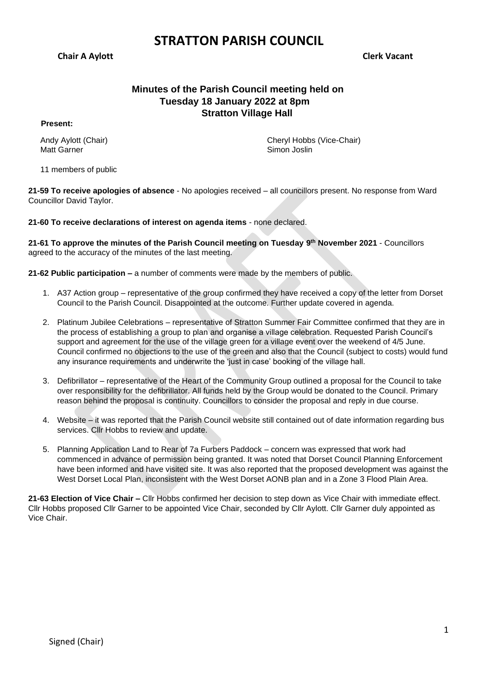**Chair A Aylott Clerk Vacant**

## **Minutes of the Parish Council meeting held on Tuesday 18 January 2022 at 8pm Stratton Village Hall**

#### **Present:**

Andy Aylott (Chair) Matt Garner

11 members of public

Cheryl Hobbs (Vice-Chair) Simon Joslin

**21-59 To receive apologies of absence** - No apologies received – all councillors present. No response from Ward Councillor David Taylor.

**21-60 To receive declarations of interest on agenda items** - none declared.

**21-61 To approve the minutes of the Parish Council meeting on Tuesday 9 th November 2021** - Councillors agreed to the accuracy of the minutes of the last meeting.

**21-62 Public participation –** a number of comments were made by the members of public.

- 1. A37 Action group representative of the group confirmed they have received a copy of the letter from Dorset Council to the Parish Council. Disappointed at the outcome. Further update covered in agenda.
- 2. Platinum Jubilee Celebrations representative of Stratton Summer Fair Committee confirmed that they are in the process of establishing a group to plan and organise a village celebration. Requested Parish Council's support and agreement for the use of the village green for a village event over the weekend of 4/5 June. Council confirmed no objections to the use of the green and also that the Council (subject to costs) would fund any insurance requirements and underwrite the 'just in case' booking of the village hall.
- 3. Defibrillator representative of the Heart of the Community Group outlined a proposal for the Council to take over responsibility for the defibrillator. All funds held by the Group would be donated to the Council. Primary reason behind the proposal is continuity. Councillors to consider the proposal and reply in due course.
- 4. Website it was reported that the Parish Council website still contained out of date information regarding bus services. Cllr Hobbs to review and update.
- 5. Planning Application Land to Rear of 7a Furbers Paddock concern was expressed that work had commenced in advance of permission being granted. It was noted that Dorset Council Planning Enforcement have been informed and have visited site. It was also reported that the proposed development was against the West Dorset Local Plan, inconsistent with the West Dorset AONB plan and in a Zone 3 Flood Plain Area.

**21-63 Election of Vice Chair –** Cllr Hobbs confirmed her decision to step down as Vice Chair with immediate effect. Cllr Hobbs proposed Cllr Garner to be appointed Vice Chair, seconded by Cllr Aylott. Cllr Garner duly appointed as Vice Chair.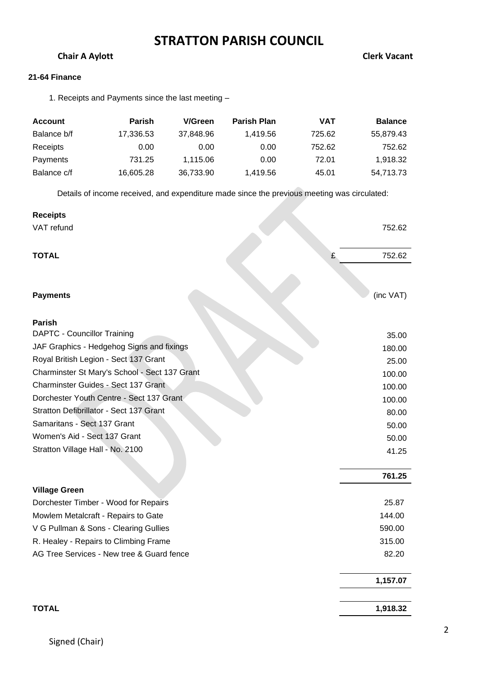## **Chair A Aylott** Chair A Aylott Chair A Aylott Chair A Aylott Chair A Aylott Chair A Aylott Chair A Aylott Chair A Aylott Chair A Aylor Aylor Aylor Aylor Aylor Aylor Aylor Aylor Aylor Aylor Aylor Aylor Aylor Aylor Aylor Ay

### **21-64 Finance**

1. Receipts and Payments since the last meeting –

| Account     | <b>Parish</b> | V/Green   | <b>Parish Plan</b> | VAT    | <b>Balance</b> |
|-------------|---------------|-----------|--------------------|--------|----------------|
| Balance b/f | 17,336.53     | 37.848.96 | 1.419.56           | 725.62 | 55,879.43      |
| Receipts    | 0.00          | 0.00      | 0.00               | 752.62 | 752.62         |
| Payments    | 731.25        | 1.115.06  | 0.00               | 72.01  | 1,918.32       |
| Balance c/f | 16,605.28     | 36,733.90 | 1,419.56           | 45.01  | 54,713.73      |

Details of income received, and expenditure made since the previous meeting was circulated:

| <b>Receipts</b>                               |           |
|-----------------------------------------------|-----------|
| VAT refund                                    | 752.62    |
| <b>TOTAL</b><br>£                             | 752.62    |
|                                               |           |
| <b>Payments</b>                               | (inc VAT) |
| <b>Parish</b>                                 |           |
| <b>DAPTC - Councillor Training</b>            | 35.00     |
| JAF Graphics - Hedgehog Signs and fixings     | 180.00    |
| Royal British Legion - Sect 137 Grant         | 25.00     |
| Charminster St Mary's School - Sect 137 Grant | 100.00    |
| Charminster Guides - Sect 137 Grant           | 100.00    |
| Dorchester Youth Centre - Sect 137 Grant      | 100.00    |
| Stratton Defibrillator - Sect 137 Grant       | 80.00     |
| Samaritans - Sect 137 Grant                   | 50.00     |
| Women's Aid - Sect 137 Grant                  | 50.00     |
| Stratton Village Hall - No. 2100              | 41.25     |
|                                               | 761.25    |
| <b>Village Green</b>                          |           |
| Dorchester Timber - Wood for Repairs          | 25.87     |
| Mowlem Metalcraft - Repairs to Gate           | 144.00    |
| V G Pullman & Sons - Clearing Gullies         | 590.00    |
| R. Healey - Repairs to Climbing Frame         | 315.00    |
| AG Tree Services - New tree & Guard fence     | 82.20     |
|                                               | 1,157.07  |
| <b>TOTAL</b>                                  | 1,918.32  |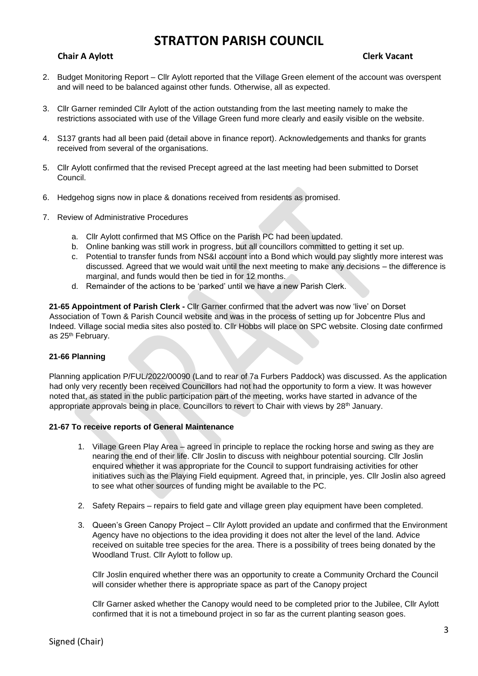### **Chair A Aylott** Chair A Aylott Chair A Aylott Chair A Aylott Chair A Aylott Chair A Aylott Chair A Aylott Chair A Aylott Chair A Aylott Chair A Aylott Chair A Aylott Chair A Aylott Chair A Aylott Chair A Aylott Chair A Ay

- 2. Budget Monitoring Report Cllr Aylott reported that the Village Green element of the account was overspent and will need to be balanced against other funds. Otherwise, all as expected.
- 3. Cllr Garner reminded Cllr Aylott of the action outstanding from the last meeting namely to make the restrictions associated with use of the Village Green fund more clearly and easily visible on the website.
- 4. S137 grants had all been paid (detail above in finance report). Acknowledgements and thanks for grants received from several of the organisations.
- 5. Cllr Aylott confirmed that the revised Precept agreed at the last meeting had been submitted to Dorset Council.
- 6. Hedgehog signs now in place & donations received from residents as promised.
- 7. Review of Administrative Procedures
	- a. Cllr Aylott confirmed that MS Office on the Parish PC had been updated.
	- b. Online banking was still work in progress, but all councillors committed to getting it set up.
	- c. Potential to transfer funds from NS&I account into a Bond which would pay slightly more interest was discussed. Agreed that we would wait until the next meeting to make any decisions – the difference is marginal, and funds would then be tied in for 12 months.
	- d. Remainder of the actions to be 'parked' until we have a new Parish Clerk.

**21-65 Appointment of Parish Clerk -** Cllr Garner confirmed that the advert was now 'live' on Dorset Association of Town & Parish Council website and was in the process of setting up for Jobcentre Plus and Indeed. Village social media sites also posted to. Cllr Hobbs will place on SPC website. Closing date confirmed as 25<sup>th</sup> February.

#### **21-66 Planning**

Planning application P/FUL/2022/00090 (Land to rear of 7a Furbers Paddock) was discussed. As the application had only very recently been received Councillors had not had the opportunity to form a view. It was however noted that, as stated in the public participation part of the meeting, works have started in advance of the appropriate approvals being in place. Councillors to revert to Chair with views by  $28<sup>th</sup>$  January.

#### **21-67 To receive reports of General Maintenance**

- 1. Village Green Play Area agreed in principle to replace the rocking horse and swing as they are nearing the end of their life. Cllr Joslin to discuss with neighbour potential sourcing. Cllr Joslin enquired whether it was appropriate for the Council to support fundraising activities for other initiatives such as the Playing Field equipment. Agreed that, in principle, yes. Cllr Joslin also agreed to see what other sources of funding might be available to the PC.
- 2. Safety Repairs repairs to field gate and village green play equipment have been completed.
- 3. Queen's Green Canopy Project Cllr Aylott provided an update and confirmed that the Environment Agency have no objections to the idea providing it does not alter the level of the land. Advice received on suitable tree species for the area. There is a possibility of trees being donated by the Woodland Trust. Cllr Aylott to follow up.

Cllr Joslin enquired whether there was an opportunity to create a Community Orchard the Council will consider whether there is appropriate space as part of the Canopy project

Cllr Garner asked whether the Canopy would need to be completed prior to the Jubilee, Cllr Aylott confirmed that it is not a timebound project in so far as the current planting season goes.